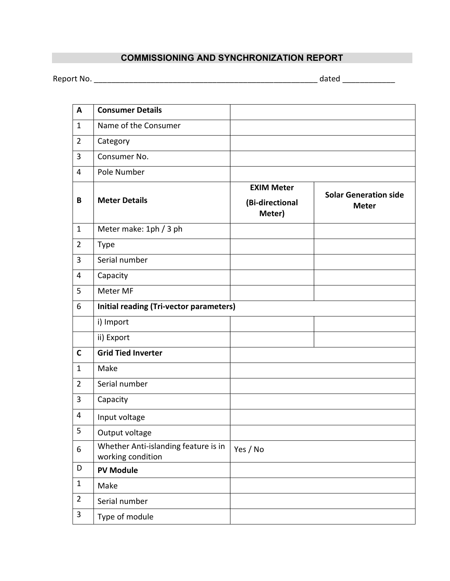## COMMISSIONING AND SYNCHRONIZATION REPORT

Report No. \_\_\_\_\_\_\_\_\_\_\_\_\_\_\_\_\_\_\_\_\_\_\_\_\_\_\_\_\_\_\_\_\_\_\_\_\_\_\_\_\_\_\_\_\_\_\_\_\_\_\_ dated \_\_\_\_\_\_\_\_\_\_\_\_

| A              | <b>Consumer Details</b>                                   |                                                |                                              |
|----------------|-----------------------------------------------------------|------------------------------------------------|----------------------------------------------|
| $\mathbf{1}$   | Name of the Consumer                                      |                                                |                                              |
| $\overline{2}$ | Category                                                  |                                                |                                              |
| $\overline{3}$ | Consumer No.                                              |                                                |                                              |
| $\overline{4}$ | Pole Number                                               |                                                |                                              |
| B              | <b>Meter Details</b>                                      | <b>EXIM Meter</b><br>(Bi-directional<br>Meter) | <b>Solar Generation side</b><br><b>Meter</b> |
| $\mathbf{1}$   | Meter make: 1ph / 3 ph                                    |                                                |                                              |
| $\overline{2}$ | <b>Type</b>                                               |                                                |                                              |
| 3              | Serial number                                             |                                                |                                              |
| $\overline{4}$ | Capacity                                                  |                                                |                                              |
| 5              | Meter MF                                                  |                                                |                                              |
| 6              | Initial reading (Tri-vector parameters)                   |                                                |                                              |
|                | i) Import                                                 |                                                |                                              |
|                | ii) Export                                                |                                                |                                              |
| $\mathsf{C}$   | <b>Grid Tied Inverter</b>                                 |                                                |                                              |
| $\mathbf{1}$   | Make                                                      |                                                |                                              |
| $\overline{2}$ | Serial number                                             |                                                |                                              |
| 3              | Capacity                                                  |                                                |                                              |
| 4              | Input voltage                                             |                                                |                                              |
| 5              | Output voltage                                            |                                                |                                              |
| 6              | Whether Anti-islanding feature is in<br>working condition | Yes / No                                       |                                              |
| D              | <b>PV Module</b>                                          |                                                |                                              |
| $\mathbf{1}$   | Make                                                      |                                                |                                              |
| $\overline{2}$ | Serial number                                             |                                                |                                              |
| 3              | Type of module                                            |                                                |                                              |